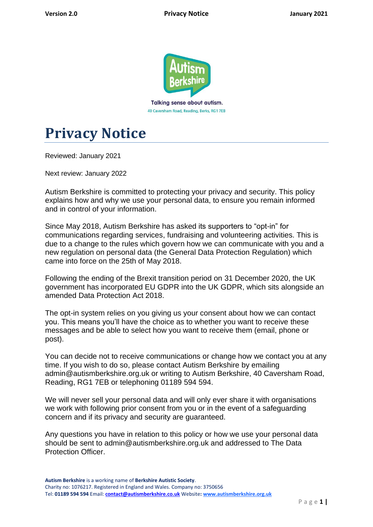

40 Caversham Road, Reading, Berks, RG1 7EB



Reviewed: January 2021

Next review: January 2022

Autism Berkshire is committed to protecting your privacy and security. This policy explains how and why we use your personal data, to ensure you remain informed and in control of your information.

Since May 2018, Autism Berkshire has asked its supporters to "opt-in" for communications regarding services, fundraising and volunteering activities. This is due to a change to the rules which govern how we can communicate with you and a new regulation on personal data (the General Data Protection Regulation) which came into force on the 25th of May 2018.

Following the ending of the Brexit transition period on 31 December 2020, the UK government has incorporated EU GDPR into the UK GDPR, which sits alongside an amended Data Protection Act 2018.

The opt-in system relies on you giving us your consent about how we can contact you. This means you'll have the choice as to whether you want to receive these messages and be able to select how you want to receive them (email, phone or post).

You can decide not to receive communications or change how we contact you at any time. If you wish to do so, please contact Autism Berkshire by emailing admin@autismberkshire.org.uk or writing to Autism Berkshire, 40 Caversham Road, Reading, RG1 7EB or telephoning 01189 594 594.

We will never sell your personal data and will only ever share it with organisations we work with following prior consent from you or in the event of a safeguarding concern and if its privacy and security are guaranteed.

Any questions you have in relation to this policy or how we use your personal data should be sent to admin@autismberkshire.org.uk and addressed to The Data Protection Officer.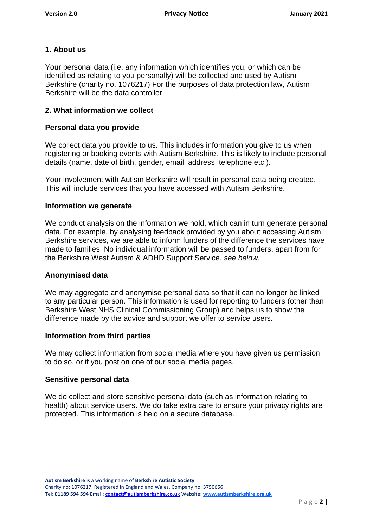# **1. About us**

Your personal data (i.e. any information which identifies you, or which can be identified as relating to you personally) will be collected and used by Autism Berkshire (charity no. 1076217) For the purposes of data protection law, Autism Berkshire will be the data controller.

#### **2. What information we collect**

#### **Personal data you provide**

We collect data you provide to us. This includes information you give to us when registering or booking events with Autism Berkshire. This is likely to include personal details (name, date of birth, gender, email, address, telephone etc.).

Your involvement with Autism Berkshire will result in personal data being created. This will include services that you have accessed with Autism Berkshire.

#### **Information we generate**

We conduct analysis on the information we hold, which can in turn generate personal data. For example, by analysing feedback provided by you about accessing Autism Berkshire services, we are able to inform funders of the difference the services have made to families. No individual information will be passed to funders, apart from for the Berkshire West Autism & ADHD Support Service, *see below*.

#### **Anonymised data**

We may aggregate and anonymise personal data so that it can no longer be linked to any particular person. This information is used for reporting to funders (other than Berkshire West NHS Clinical Commissioning Group) and helps us to show the difference made by the advice and support we offer to service users.

#### **Information from third parties**

We may collect information from social media where you have given us permission to do so, or if you post on one of our social media pages.

#### **Sensitive personal data**

We do collect and store sensitive personal data (such as information relating to health) about service users. We do take extra care to ensure your privacy rights are protected. This information is held on a secure database.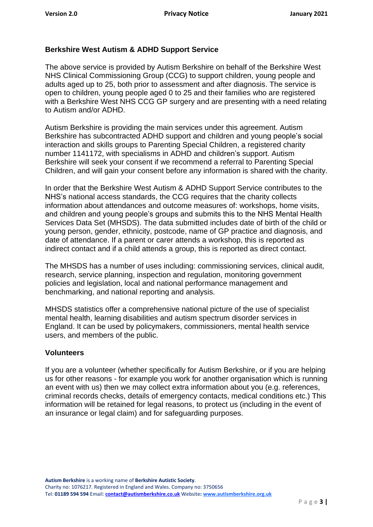## **Berkshire West Autism & ADHD Support Service**

The above service is provided by Autism Berkshire on behalf of the Berkshire West NHS Clinical Commissioning Group (CCG) to support children, young people and adults aged up to 25, both prior to assessment and after diagnosis. The service is open to children, young people aged 0 to 25 and their families who are registered with a Berkshire West NHS CCG GP surgery and are presenting with a need relating to Autism and/or ADHD.

Autism Berkshire is providing the main services under this agreement. Autism Berkshire has subcontracted ADHD support and children and young people's social interaction and skills groups to Parenting Special Children, a registered charity number 1141172, with specialisms in ADHD and children's support. Autism Berkshire will seek your consent if we recommend a referral to Parenting Special Children, and will gain your consent before any information is shared with the charity.

In order that the Berkshire West Autism & ADHD Support Service contributes to the NHS's national access standards, the CCG requires that the charity collects information about attendances and outcome measures of: workshops, home visits, and children and young people's groups and submits this to the NHS Mental Health Services Data Set (MHSDS). The data submitted includes date of birth of the child or young person, gender, ethnicity, postcode, name of GP practice and diagnosis, and date of attendance. If a parent or carer attends a workshop, this is reported as indirect contact and if a child attends a group, this is reported as direct contact.

The MHSDS has a number of uses including: commissioning services, clinical audit, research, service planning, inspection and regulation, monitoring government policies and legislation, local and national performance management and benchmarking, and national reporting and analysis.

MHSDS statistics offer a comprehensive national picture of the use of specialist mental health, learning disabilities and autism spectrum disorder services in England. It can be used by policymakers, commissioners, mental health service users, and members of the public.

#### **Volunteers**

If you are a volunteer (whether specifically for Autism Berkshire, or if you are helping us for other reasons - for example you work for another organisation which is running an event with us) then we may collect extra information about you (e.g. references, criminal records checks, details of emergency contacts, medical conditions etc.) This information will be retained for legal reasons, to protect us (including in the event of an insurance or legal claim) and for safeguarding purposes.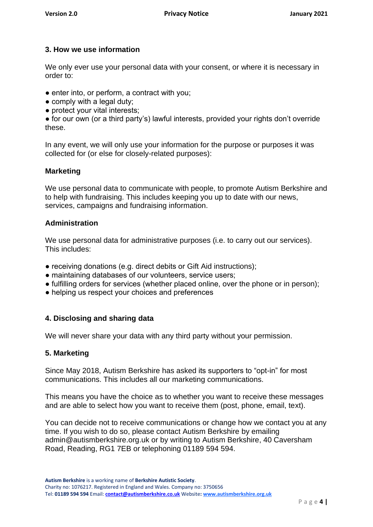# **3. How we use information**

We only ever use your personal data with your consent, or where it is necessary in order to:

- enter into, or perform, a contract with you;
- comply with a legal duty;
- protect your vital interests;

● for our own (or a third party's) lawful interests, provided your rights don't override these.

In any event, we will only use your information for the purpose or purposes it was collected for (or else for closely-related purposes):

#### **Marketing**

We use personal data to communicate with people, to promote Autism Berkshire and to help with fundraising. This includes keeping you up to date with our news, services, campaigns and fundraising information.

## **Administration**

We use personal data for administrative purposes (i.e. to carry out our services). This includes:

- receiving donations (e.g. direct debits or Gift Aid instructions);
- maintaining databases of our volunteers, service users;
- fulfilling orders for services (whether placed online, over the phone or in person);
- helping us respect your choices and preferences

# **4. Disclosing and sharing data**

We will never share your data with any third party without your permission.

#### **5. Marketing**

Since May 2018, Autism Berkshire has asked its supporters to "opt-in" for most communications. This includes all our marketing communications.

This means you have the choice as to whether you want to receive these messages and are able to select how you want to receive them (post, phone, email, text).

You can decide not to receive communications or change how we contact you at any time. If you wish to do so, please contact Autism Berkshire by emailing admin@autismberkshire.org.uk or by writing to Autism Berkshire, 40 Caversham Road, Reading, RG1 7EB or telephoning 01189 594 594.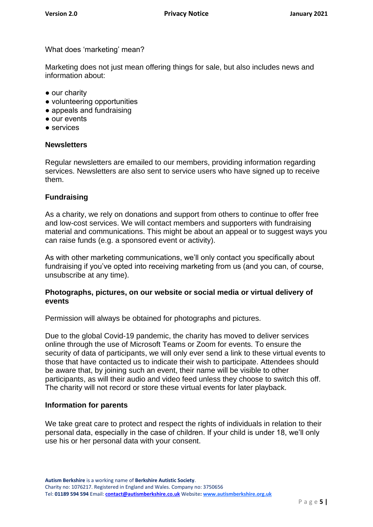What does 'marketing' mean?

Marketing does not just mean offering things for sale, but also includes news and information about:

- our charity
- volunteering opportunities
- appeals and fundraising
- our events
- services

#### **Newsletters**

Regular newsletters are emailed to our members, providing information regarding services. Newsletters are also sent to service users who have signed up to receive them.

#### **Fundraising**

As a charity, we rely on donations and support from others to continue to offer free and low-cost services. We will contact members and supporters with fundraising material and communications. This might be about an appeal or to suggest ways you can raise funds (e.g. a sponsored event or activity).

As with other marketing communications, we'll only contact you specifically about fundraising if you've opted into receiving marketing from us (and you can, of course, unsubscribe at any time).

#### **Photographs, pictures, on our website or social media or virtual delivery of events**

Permission will always be obtained for photographs and pictures.

Due to the global Covid-19 pandemic, the charity has moved to deliver services online through the use of Microsoft Teams or Zoom for events. To ensure the security of data of participants, we will only ever send a link to these virtual events to those that have contacted us to indicate their wish to participate. Attendees should be aware that, by joining such an event, their name will be visible to other participants, as will their audio and video feed unless they choose to switch this off. The charity will not record or store these virtual events for later playback.

#### **Information for parents**

We take great care to protect and respect the rights of individuals in relation to their personal data, especially in the case of children. If your child is under 18, we'll only use his or her personal data with your consent.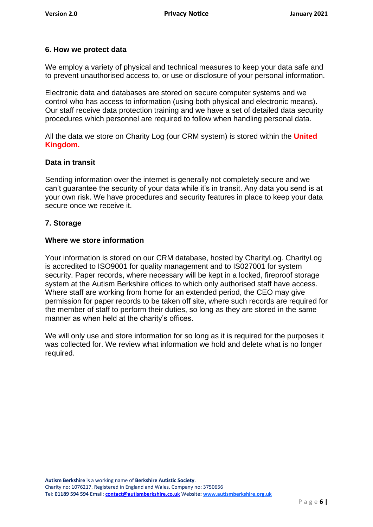## **6. How we protect data**

We employ a variety of physical and technical measures to keep your data safe and to prevent unauthorised access to, or use or disclosure of your personal information.

Electronic data and databases are stored on secure computer systems and we control who has access to information (using both physical and electronic means). Our staff receive data protection training and we have a set of detailed data security procedures which personnel are required to follow when handling personal data.

All the data we store on Charity Log (our CRM system) is stored within the **United Kingdom.**

#### **Data in transit**

Sending information over the internet is generally not completely secure and we can't guarantee the security of your data while it's in transit. Any data you send is at your own risk. We have procedures and security features in place to keep your data secure once we receive it.

#### **7. Storage**

#### **Where we store information**

Your information is stored on our CRM database, hosted by CharityLog. CharityLog is accredited to ISO9001 for quality management and to IS027001 for system security. Paper records, where necessary will be kept in a locked, fireproof storage system at the Autism Berkshire offices to which only authorised staff have access. Where staff are working from home for an extended period, the CEO may give permission for paper records to be taken off site, where such records are required for the member of staff to perform their duties, so long as they are stored in the same manner as when held at the charity's offices.

We will only use and store information for so long as it is required for the purposes it was collected for. We review what information we hold and delete what is no longer required.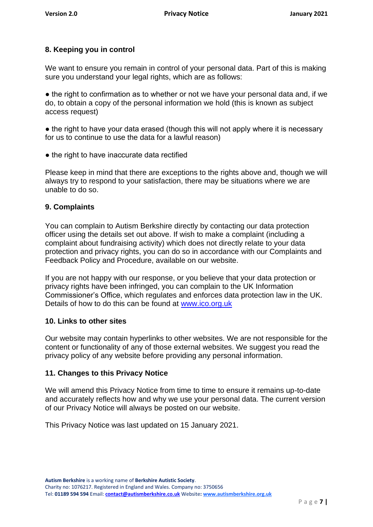# **8. Keeping you in control**

We want to ensure you remain in control of your personal data. Part of this is making sure you understand your legal rights, which are as follows:

• the right to confirmation as to whether or not we have your personal data and, if we do, to obtain a copy of the personal information we hold (this is known as subject access request)

• the right to have your data erased (though this will not apply where it is necessary for us to continue to use the data for a lawful reason)

• the right to have inaccurate data rectified

Please keep in mind that there are exceptions to the rights above and, though we will always try to respond to your satisfaction, there may be situations where we are unable to do so.

## **9. Complaints**

You can complain to Autism Berkshire directly by contacting our data protection officer using the details set out above. If wish to make a complaint (including a complaint about fundraising activity) which does not directly relate to your data protection and privacy rights, you can do so in accordance with our Complaints and Feedback Policy and Procedure, available on our website.

If you are not happy with our response, or you believe that your data protection or privacy rights have been infringed, you can complain to the UK Information Commissioner's Office, which regulates and enforces data protection law in the UK. Details of how to do this can be found at [www.ico.org.uk](http://www.ico.org.uk/)

#### **10. Links to other sites**

Our website may contain hyperlinks to other websites. We are not responsible for the content or functionality of any of those external websites. We suggest you read the privacy policy of any website before providing any personal information.

# **11. Changes to this Privacy Notice**

We will amend this Privacy Notice from time to time to ensure it remains up-to-date and accurately reflects how and why we use your personal data. The current version of our Privacy Notice will always be posted on our website.

This Privacy Notice was last updated on 15 January 2021.